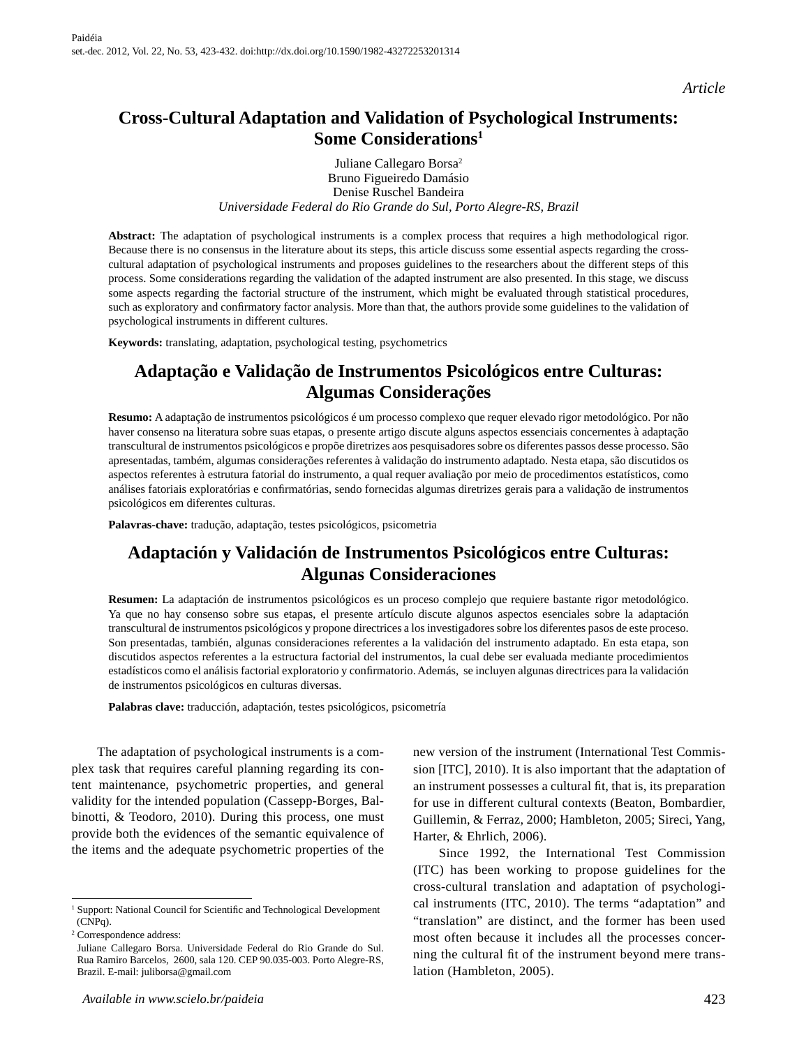*Article*

# **Cross-Cultural Adaptation and Validation of Psychological Instruments: Some Considerations1**

Juliane Callegaro Borsa<sup>2</sup> Bruno Figueiredo Damásio Denise Ruschel Bandeira *Universidade Federal do Rio Grande do Sul, Porto Alegre-RS, Brazil*

**Abstract:** The adaptation of psychological instruments is a complex process that requires a high methodological rigor. Because there is no consensus in the literature about its steps, this article discuss some essential aspects regarding the crosscultural adaptation of psychological instruments and proposes guidelines to the researchers about the different steps of this process. Some considerations regarding the validation of the adapted instrument are also presented. In this stage, we discuss some aspects regarding the factorial structure of the instrument, which might be evaluated through statistical procedures, such as exploratory and confirmatory factor analysis. More than that, the authors provide some guidelines to the validation of psychological instruments in different cultures.

**Keywords:** translating, adaptation, psychological testing, psychometrics

# **Adaptação e Validação de Instrumentos Psicológicos entre Culturas: Algumas Considerações**

**Resumo:** A adaptação de instrumentos psicológicos é um processo complexo que requer elevado rigor metodológico. Por não haver consenso na literatura sobre suas etapas, o presente artigo discute alguns aspectos essenciais concernentes à adaptação transcultural de instrumentos psicológicos e propõe diretrizes aos pesquisadores sobre os diferentes passos desse processo. São apresentadas, também, algumas considerações referentes à validação do instrumento adaptado. Nesta etapa, são discutidos os aspectos referentes à estrutura fatorial do instrumento, a qual requer avaliação por meio de procedimentos estatísticos, como análises fatoriais exploratórias e confirmatórias, sendo fornecidas algumas diretrizes gerais para a validação de instrumentos psicológicos em diferentes culturas.

**Palavras-chave:** tradução, adaptação, testes psicológicos, psicometria

# **Adaptación y Validación de Instrumentos Psicológicos entre Culturas: Algunas Consideraciones**

**Resumen:** La adaptación de instrumentos psicológicos es un proceso complejo que requiere bastante rigor metodológico. Ya que no hay consenso sobre sus etapas, el presente artículo discute algunos aspectos esenciales sobre la adaptación transcultural de instrumentos psicológicos y propone directrices a los investigadores sobre los diferentes pasos de este proceso. Son presentadas, también, algunas consideraciones referentes a la validación del instrumento adaptado. En esta etapa, son discutidos aspectos referentes a la estructura factorial del instrumentos, la cual debe ser evaluada mediante procedimientos estadísticos como el análisis factorial exploratorio y confirmatorio. Además, se incluyen algunas directrices para la validación de instrumentos psicológicos en culturas diversas.

**Palabras clave:** traducción, adaptación, testes psicológicos, psicometría

The adaptation of psychological instruments is a complex task that requires careful planning regarding its content maintenance, psychometric properties, and general validity for the intended population (Cassepp-Borges, Balbinotti, & Teodoro, 2010). During this process, one must provide both the evidences of the semantic equivalence of the items and the adequate psychometric properties of the new version of the instrument (International Test Commission [ITC], 2010). It is also important that the adaptation of an instrument possesses a cultural fit, that is, its preparation for use in different cultural contexts (Beaton, Bombardier, Guillemin, & Ferraz, 2000; Hambleton, 2005; Sireci, Yang, Harter, & Ehrlich, 2006).

Since 1992, the International Test Commission (ITC) has been working to propose guidelines for the cross-cultural translation and adaptation of psychological instruments (ITC, 2010). The terms "adaptation" and "translation" are distinct, and the former has been used most often because it includes all the processes concerning the cultural fit of the instrument beyond mere translation (Hambleton, 2005).

<sup>&</sup>lt;sup>1</sup> Support: National Council for Scientific and Technological Development (CNPq).

<sup>2</sup> Correspondence address:

Juliane Callegaro Borsa. Universidade Federal do Rio Grande do Sul. Rua Ramiro Barcelos, 2600, sala 120. CEP 90.035-003. Porto Alegre-RS, Brazil. E-mail: juliborsa@gmail.com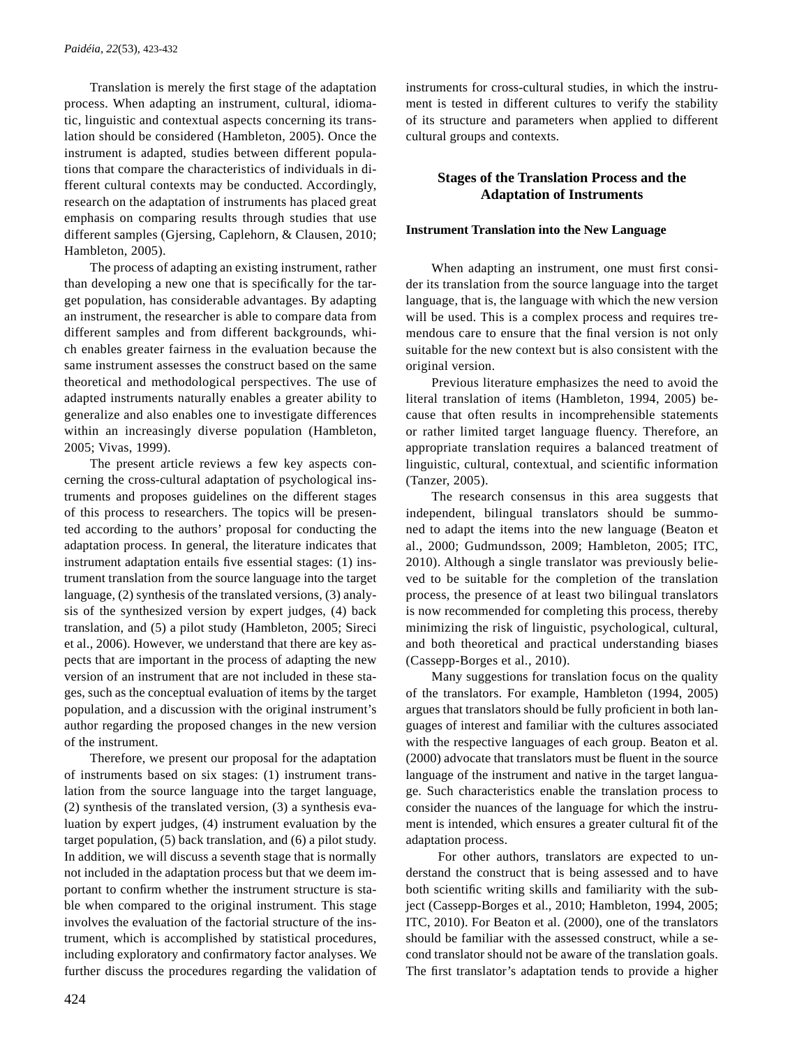Translation is merely the first stage of the adaptation process. When adapting an instrument, cultural, idiomatic, linguistic and contextual aspects concerning its translation should be considered (Hambleton, 2005). Once the instrument is adapted, studies between different populations that compare the characteristics of individuals in different cultural contexts may be conducted. Accordingly, research on the adaptation of instruments has placed great emphasis on comparing results through studies that use different samples (Gjersing, Caplehorn, & Clausen, 2010; Hambleton, 2005).

The process of adapting an existing instrument, rather than developing a new one that is specifically for the target population, has considerable advantages. By adapting an instrument, the researcher is able to compare data from different samples and from different backgrounds, which enables greater fairness in the evaluation because the same instrument assesses the construct based on the same theoretical and methodological perspectives. The use of adapted instruments naturally enables a greater ability to generalize and also enables one to investigate differences within an increasingly diverse population (Hambleton, 2005; Vivas, 1999).

The present article reviews a few key aspects concerning the cross-cultural adaptation of psychological instruments and proposes guidelines on the different stages of this process to researchers. The topics will be presented according to the authors' proposal for conducting the adaptation process. In general, the literature indicates that instrument adaptation entails five essential stages: (1) instrument translation from the source language into the target language, (2) synthesis of the translated versions, (3) analysis of the synthesized version by expert judges, (4) back translation, and (5) a pilot study (Hambleton, 2005; Sireci et al., 2006). However, we understand that there are key aspects that are important in the process of adapting the new version of an instrument that are not included in these stages, such as the conceptual evaluation of items by the target population, and a discussion with the original instrument's author regarding the proposed changes in the new version of the instrument.

Therefore, we present our proposal for the adaptation of instruments based on six stages: (1) instrument translation from the source language into the target language, (2) synthesis of the translated version, (3) a synthesis evaluation by expert judges, (4) instrument evaluation by the target population, (5) back translation, and (6) a pilot study. In addition, we will discuss a seventh stage that is normally not included in the adaptation process but that we deem important to confirm whether the instrument structure is stable when compared to the original instrument. This stage involves the evaluation of the factorial structure of the instrument, which is accomplished by statistical procedures, including exploratory and confirmatory factor analyses. We further discuss the procedures regarding the validation of instruments for cross-cultural studies, in which the instrument is tested in different cultures to verify the stability of its structure and parameters when applied to different cultural groups and contexts.

# **Stages of the Translation Process and the Adaptation of Instruments**

### **Instrument Translation into the New Language**

When adapting an instrument, one must first consider its translation from the source language into the target language, that is, the language with which the new version will be used. This is a complex process and requires tremendous care to ensure that the final version is not only suitable for the new context but is also consistent with the original version.

Previous literature emphasizes the need to avoid the literal translation of items (Hambleton, 1994, 2005) because that often results in incomprehensible statements or rather limited target language fluency. Therefore, an appropriate translation requires a balanced treatment of linguistic, cultural, contextual, and scientific information (Tanzer, 2005).

The research consensus in this area suggests that independent, bilingual translators should be summoned to adapt the items into the new language (Beaton et al., 2000; Gudmundsson, 2009; Hambleton, 2005; ITC, 2010). Although a single translator was previously believed to be suitable for the completion of the translation process, the presence of at least two bilingual translators is now recommended for completing this process, thereby minimizing the risk of linguistic, psychological, cultural, and both theoretical and practical understanding biases (Cassepp-Borges et al., 2010).

Many suggestions for translation focus on the quality of the translators. For example, Hambleton (1994, 2005) argues that translators should be fully proficient in both languages of interest and familiar with the cultures associated with the respective languages of each group. Beaton et al.  $(2000)$  advocate that translators must be fluent in the source language of the instrument and native in the target language. Such characteristics enable the translation process to consider the nuances of the language for which the instrument is intended, which ensures a greater cultural fit of the adaptation process.

 For other authors, translators are expected to understand the construct that is being assessed and to have both scientific writing skills and familiarity with the subject (Cassepp-Borges et al., 2010; Hambleton, 1994, 2005; ITC, 2010). For Beaton et al. (2000), one of the translators should be familiar with the assessed construct, while a second translator should not be aware of the translation goals. The first translator's adaptation tends to provide a higher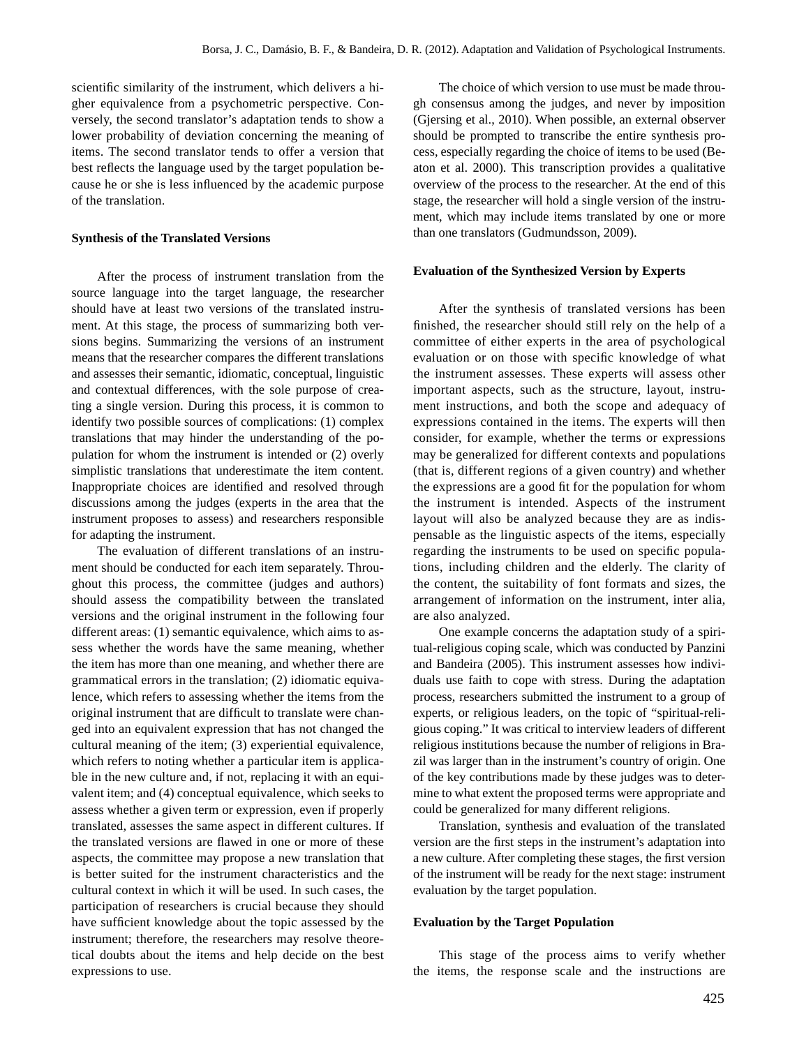scientific similarity of the instrument, which delivers a higher equivalence from a psychometric perspective. Conversely, the second translator's adaptation tends to show a lower probability of deviation concerning the meaning of items. The second translator tends to offer a version that best reflects the language used by the target population because he or she is less influenced by the academic purpose of the translation.

#### **Synthesis of the Translated Versions**

After the process of instrument translation from the source language into the target language, the researcher should have at least two versions of the translated instrument. At this stage, the process of summarizing both versions begins. Summarizing the versions of an instrument means that the researcher compares the different translations and assesses their semantic, idiomatic, conceptual, linguistic and contextual differences, with the sole purpose of creating a single version. During this process, it is common to identify two possible sources of complications: (1) complex translations that may hinder the understanding of the population for whom the instrument is intended or (2) overly simplistic translations that underestimate the item content. Inappropriate choices are identified and resolved through discussions among the judges (experts in the area that the instrument proposes to assess) and researchers responsible for adapting the instrument.

The evaluation of different translations of an instrument should be conducted for each item separately. Throughout this process, the committee (judges and authors) should assess the compatibility between the translated versions and the original instrument in the following four different areas: (1) semantic equivalence, which aims to assess whether the words have the same meaning, whether the item has more than one meaning, and whether there are grammatical errors in the translation; (2) idiomatic equivalence, which refers to assessing whether the items from the original instrument that are difficult to translate were changed into an equivalent expression that has not changed the cultural meaning of the item; (3) experiential equivalence, which refers to noting whether a particular item is applicable in the new culture and, if not, replacing it with an equivalent item; and (4) conceptual equivalence, which seeks to assess whether a given term or expression, even if properly translated, assesses the same aspect in different cultures. If the translated versions are flawed in one or more of these aspects, the committee may propose a new translation that is better suited for the instrument characteristics and the cultural context in which it will be used. In such cases, the participation of researchers is crucial because they should have sufficient knowledge about the topic assessed by the instrument; therefore, the researchers may resolve theoretical doubts about the items and help decide on the best expressions to use.

The choice of which version to use must be made through consensus among the judges, and never by imposition (Gjersing et al., 2010). When possible, an external observer should be prompted to transcribe the entire synthesis process, especially regarding the choice of items to be used (Beaton et al. 2000). This transcription provides a qualitative overview of the process to the researcher. At the end of this stage, the researcher will hold a single version of the instrument, which may include items translated by one or more than one translators (Gudmundsson, 2009).

#### **Evaluation of the Synthesized Version by Experts**

After the synthesis of translated versions has been finished, the researcher should still rely on the help of a committee of either experts in the area of psychological evaluation or on those with specific knowledge of what the instrument assesses. These experts will assess other important aspects, such as the structure, layout, instrument instructions, and both the scope and adequacy of expressions contained in the items. The experts will then consider, for example, whether the terms or expressions may be generalized for different contexts and populations (that is, different regions of a given country) and whether the expressions are a good fit for the population for whom the instrument is intended. Aspects of the instrument layout will also be analyzed because they are as indispensable as the linguistic aspects of the items, especially regarding the instruments to be used on specific populations, including children and the elderly. The clarity of the content, the suitability of font formats and sizes, the arrangement of information on the instrument, inter alia, are also analyzed.

One example concerns the adaptation study of a spiritual-religious coping scale, which was conducted by Panzini and Bandeira (2005). This instrument assesses how individuals use faith to cope with stress. During the adaptation process, researchers submitted the instrument to a group of experts, or religious leaders, on the topic of "spiritual-religious coping." It was critical to interview leaders of different religious institutions because the number of religions in Brazil was larger than in the instrument's country of origin. One of the key contributions made by these judges was to determine to what extent the proposed terms were appropriate and could be generalized for many different religions.

Translation, synthesis and evaluation of the translated version are the first steps in the instrument's adaptation into a new culture. After completing these stages, the first version of the instrument will be ready for the next stage: instrument evaluation by the target population.

#### **Evaluation by the Target Population**

This stage of the process aims to verify whether the items, the response scale and the instructions are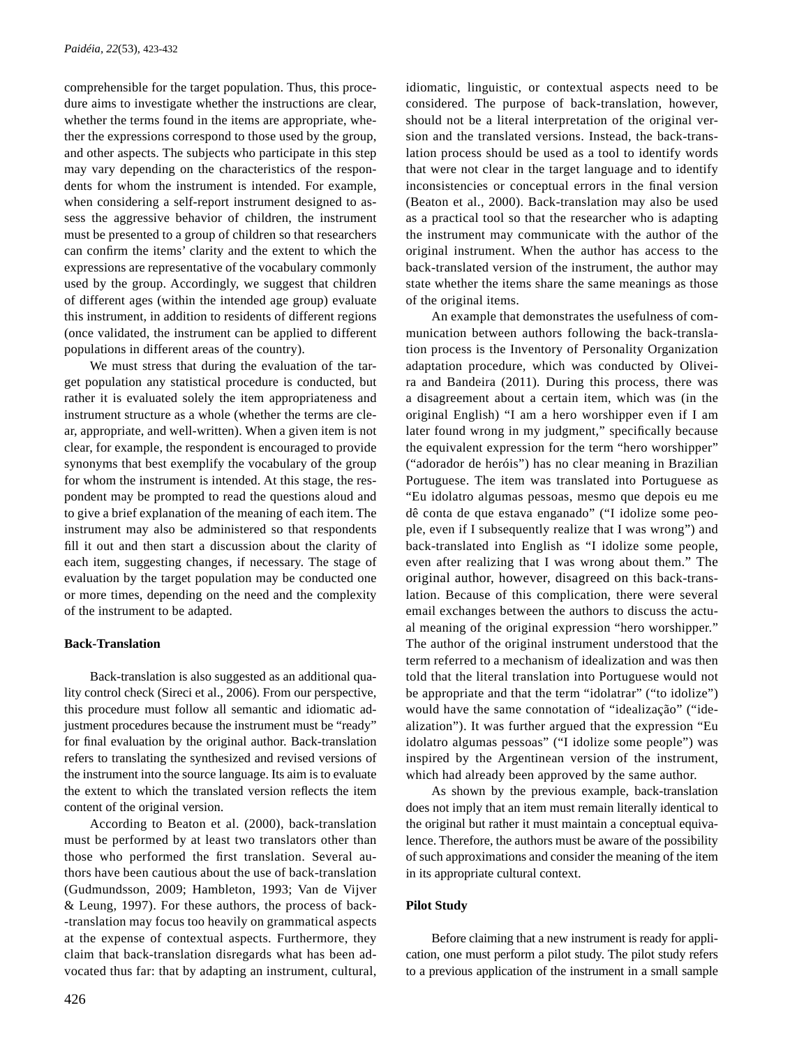comprehensible for the target population. Thus, this procedure aims to investigate whether the instructions are clear, whether the terms found in the items are appropriate, whether the expressions correspond to those used by the group, and other aspects. The subjects who participate in this step may vary depending on the characteristics of the respondents for whom the instrument is intended. For example, when considering a self-report instrument designed to assess the aggressive behavior of children, the instrument must be presented to a group of children so that researchers can confirm the items' clarity and the extent to which the expressions are representative of the vocabulary commonly used by the group. Accordingly, we suggest that children of different ages (within the intended age group) evaluate this instrument, in addition to residents of different regions (once validated, the instrument can be applied to different populations in different areas of the country).

We must stress that during the evaluation of the target population any statistical procedure is conducted, but rather it is evaluated solely the item appropriateness and instrument structure as a whole (whether the terms are clear, appropriate, and well-written). When a given item is not clear, for example, the respondent is encouraged to provide synonyms that best exemplify the vocabulary of the group for whom the instrument is intended. At this stage, the respondent may be prompted to read the questions aloud and to give a brief explanation of the meaning of each item. The instrument may also be administered so that respondents fill it out and then start a discussion about the clarity of each item, suggesting changes, if necessary. The stage of evaluation by the target population may be conducted one or more times, depending on the need and the complexity of the instrument to be adapted.

### **Back-Translation**

Back-translation is also suggested as an additional quality control check (Sireci et al., 2006). From our perspective, this procedure must follow all semantic and idiomatic adjustment procedures because the instrument must be "ready" for final evaluation by the original author. Back-translation refers to translating the synthesized and revised versions of the instrument into the source language. Its aim is to evaluate the extent to which the translated version reflects the item content of the original version.

According to Beaton et al. (2000), back-translation must be performed by at least two translators other than those who performed the first translation. Several authors have been cautious about the use of back-translation (Gudmundsson, 2009; Hambleton, 1993; Van de Vijver & Leung, 1997). For these authors, the process of back- -translation may focus too heavily on grammatical aspects at the expense of contextual aspects. Furthermore, they claim that back-translation disregards what has been advocated thus far: that by adapting an instrument, cultural,

idiomatic, linguistic, or contextual aspects need to be considered. The purpose of back-translation, however, should not be a literal interpretation of the original version and the translated versions. Instead, the back-translation process should be used as a tool to identify words that were not clear in the target language and to identify inconsistencies or conceptual errors in the final version (Beaton et al., 2000). Back-translation may also be used as a practical tool so that the researcher who is adapting the instrument may communicate with the author of the original instrument. When the author has access to the back-translated version of the instrument, the author may state whether the items share the same meanings as those of the original items. An example that demonstrates the usefulness of com-

munication between authors following the back-translation process is the Inventory of Personality Organization adaptation procedure*,* which was conducted by Oliveira and Bandeira (2011)*.* During this process, there was a disagreement about a certain item, which was (in the original English) "I am a hero worshipper even if I am later found wrong in my judgment," specifically because the equivalent expression for the term "hero worshipper" ("adorador de heróis") has no clear meaning in Brazilian Portuguese. The item was translated into Portuguese as "Eu idolatro algumas pessoas, mesmo que depois eu me dê conta de que estava enganado" ("I idolize some people, even if I subsequently realize that I was wrong") and back-translated into English as "I idolize some people, even after realizing that I was wrong about them." The original author, however, disagreed on this back-translation. Because of this complication, there were several email exchanges between the authors to discuss the actual meaning of the original expression "hero worshipper." The author of the original instrument understood that the term referred to a mechanism of idealization and was then told that the literal translation into Portuguese would not be appropriate and that the term "idolatrar" ("to idolize") would have the same connotation of "idealização" ("idealization"). It was further argued that the expression "Eu idolatro algumas pessoas" ("I idolize some people") was inspired by the Argentinean version of the instrument, which had already been approved by the same author.

As shown by the previous example, back-translation does not imply that an item must remain literally identical to the original but rather it must maintain a conceptual equivalence. Therefore, the authors must be aware of the possibility of such approximations and consider the meaning of the item in its appropriate cultural context.

#### **Pilot Study**

Before claiming that a new instrument is ready for application, one must perform a pilot study. The pilot study refers to a previous application of the instrument in a small sample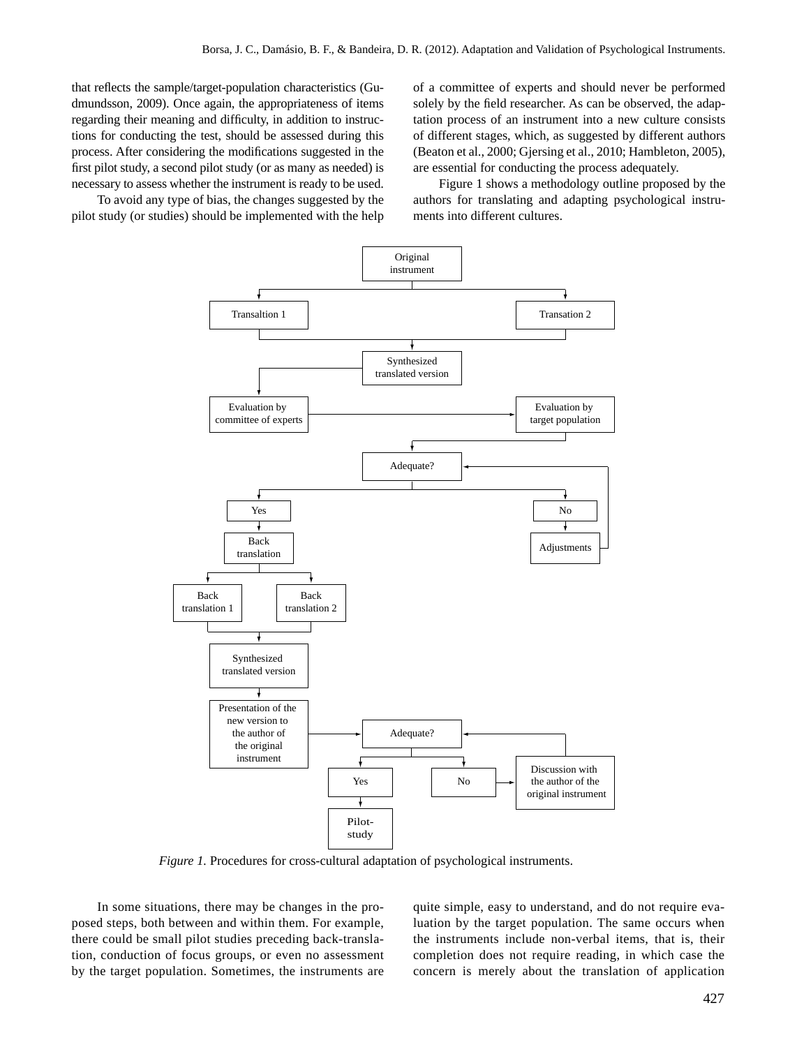that reflects the sample/target-population characteristics (Gudmundsson, 2009). Once again, the appropriateness of items regarding their meaning and difficulty, in addition to instructions for conducting the test, should be assessed during this process. After considering the modifications suggested in the first pilot study, a second pilot study (or as many as needed) is necessary to assess whether the instrument is ready to be used.

To avoid any type of bias, the changes suggested by the pilot study (or studies) should be implemented with the help of a committee of experts and should never be performed solely by the field researcher. As can be observed, the adaptation process of an instrument into a new culture consists of different stages, which, as suggested by different authors (Beaton et al., 2000; Gjersing et al., 2010; Hambleton, 2005), are essential for conducting the process adequately.

Figure 1 shows a methodology outline proposed by the authors for translating and adapting psychological instruments into different cultures.



*Figure 1.* Procedures for cross-cultural adaptation of psychological instruments.

In some situations, there may be changes in the proposed steps, both between and within them. For example, there could be small pilot studies preceding back-translation, conduction of focus groups, or even no assessment by the target population. Sometimes, the instruments are quite simple, easy to understand, and do not require evaluation by the target population. The same occurs when the instruments include non-verbal items, that is, their completion does not require reading, in which case the concern is merely about the translation of application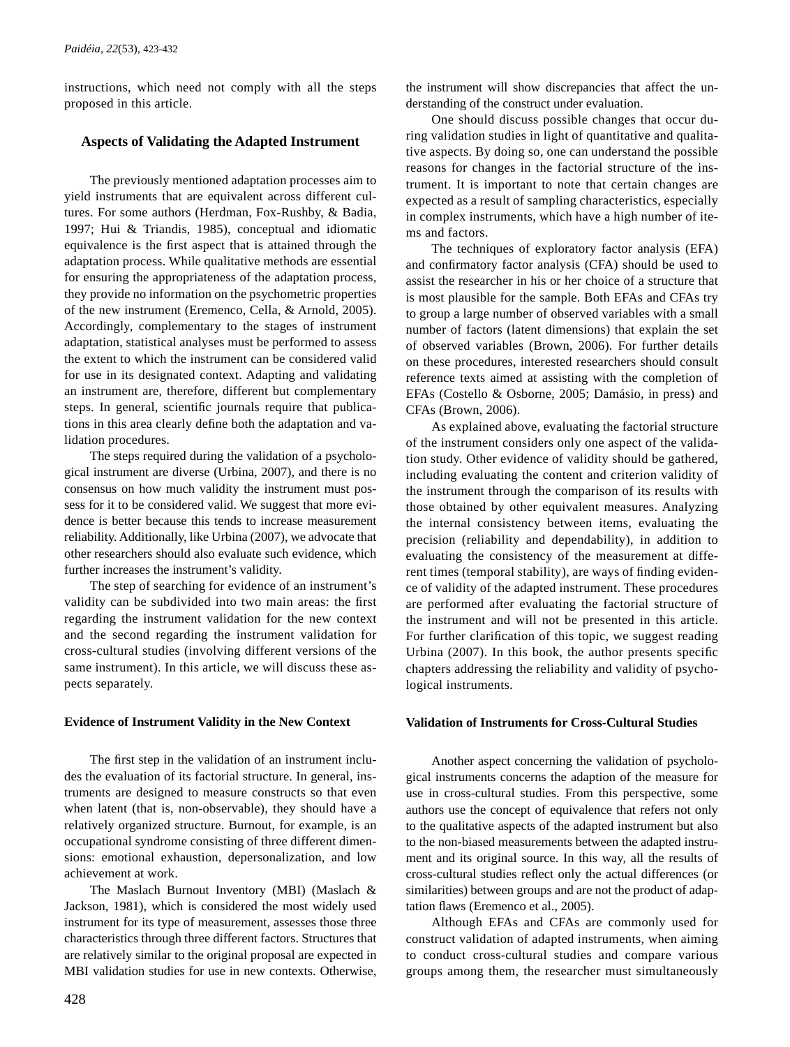instructions, which need not comply with all the steps proposed in this article.

# **Aspects of Validating the Adapted Instrument**

The previously mentioned adaptation processes aim to yield instruments that are equivalent across different cultures. For some authors (Herdman, Fox-Rushby, & Badia, 1997; Hui & Triandis, 1985), conceptual and idiomatic equivalence is the first aspect that is attained through the adaptation process. While qualitative methods are essential for ensuring the appropriateness of the adaptation process, they provide no information on the psychometric properties of the new instrument (Eremenco, Cella, & Arnold, 2005). Accordingly, complementary to the stages of instrument adaptation, statistical analyses must be performed to assess the extent to which the instrument can be considered valid for use in its designated context. Adapting and validating an instrument are, therefore, different but complementary steps. In general, scientific journals require that publications in this area clearly define both the adaptation and validation procedures.

The steps required during the validation of a psychological instrument are diverse (Urbina, 2007), and there is no consensus on how much validity the instrument must possess for it to be considered valid. We suggest that more evidence is better because this tends to increase measurement reliability. Additionally, like Urbina (2007), we advocate that other researchers should also evaluate such evidence, which further increases the instrument's validity.

The step of searching for evidence of an instrument's validity can be subdivided into two main areas: the first regarding the instrument validation for the new context and the second regarding the instrument validation for cross-cultural studies (involving different versions of the same instrument). In this article, we will discuss these aspects separately.

#### **Evidence of Instrument Validity in the New Context**

The first step in the validation of an instrument includes the evaluation of its factorial structure. In general, instruments are designed to measure constructs so that even when latent (that is, non-observable), they should have a relatively organized structure. Burnout, for example, is an occupational syndrome consisting of three different dimensions: emotional exhaustion, depersonalization, and low achievement at work.

The Maslach Burnout Inventory (MBI) (Maslach & Jackson, 1981), which is considered the most widely used instrument for its type of measurement, assesses those three characteristics through three different factors. Structures that are relatively similar to the original proposal are expected in MBI validation studies for use in new contexts. Otherwise,

428

the instrument will show discrepancies that affect the understanding of the construct under evaluation.

One should discuss possible changes that occur during validation studies in light of quantitative and qualitative aspects. By doing so, one can understand the possible reasons for changes in the factorial structure of the instrument. It is important to note that certain changes are expected as a result of sampling characteristics, especially in complex instruments, which have a high number of items and factors.

The techniques of exploratory factor analysis (EFA) and confirmatory factor analysis (CFA) should be used to assist the researcher in his or her choice of a structure that is most plausible for the sample. Both EFAs and CFAs try to group a large number of observed variables with a small number of factors (latent dimensions) that explain the set of observed variables (Brown, 2006). For further details on these procedures, interested researchers should consult reference texts aimed at assisting with the completion of EFAs (Costello & Osborne, 2005; Damásio, in press) and CFAs (Brown, 2006).

As explained above, evaluating the factorial structure of the instrument considers only one aspect of the validation study. Other evidence of validity should be gathered, including evaluating the content and criterion validity of the instrument through the comparison of its results with those obtained by other equivalent measures. Analyzing the internal consistency between items, evaluating the precision (reliability and dependability), in addition to evaluating the consistency of the measurement at different times (temporal stability), are ways of finding evidence of validity of the adapted instrument. These procedures are performed after evaluating the factorial structure of the instrument and will not be presented in this article. For further clarification of this topic, we suggest reading Urbina  $(2007)$ . In this book, the author presents specific chapters addressing the reliability and validity of psychological instruments.

#### **Validation of Instruments for Cross-Cultural Studies**

Another aspect concerning the validation of psychological instruments concerns the adaption of the measure for use in cross-cultural studies. From this perspective, some authors use the concept of equivalence that refers not only to the qualitative aspects of the adapted instrument but also to the non-biased measurements between the adapted instrument and its original source. In this way, all the results of cross-cultural studies reflect only the actual differences (or similarities) between groups and are not the product of adaptation flaws (Eremenco et al., 2005).

Although EFAs and CFAs are commonly used for construct validation of adapted instruments, when aiming to conduct cross-cultural studies and compare various groups among them, the researcher must simultaneously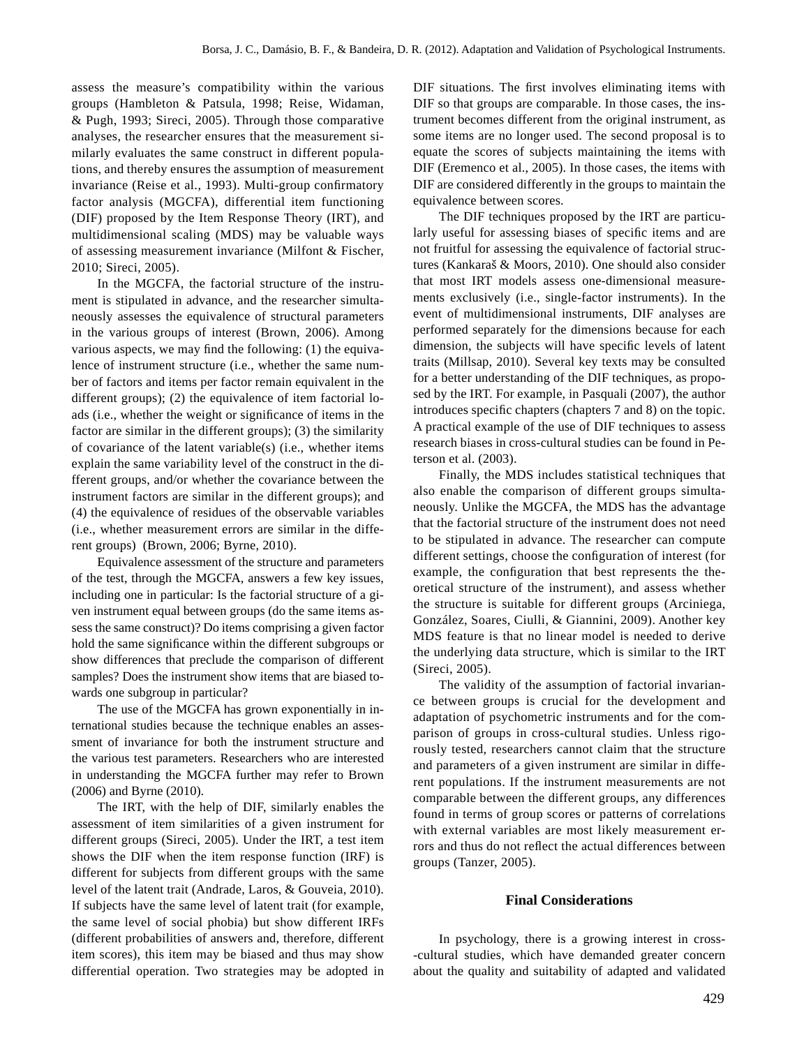assess the measure's compatibility within the various groups (Hambleton & Patsula, 1998; Reise, Widaman, & Pugh, 1993; Sireci, 2005). Through those comparative analyses, the researcher ensures that the measurement similarly evaluates the same construct in different populations, and thereby ensures the assumption of measurement invariance (Reise et al., 1993). Multi-group confirmatory factor analysis (MGCFA), differential item functioning (DIF) proposed by the Item Response Theory (IRT), and multidimensional scaling (MDS) may be valuable ways of assessing measurement invariance (Milfont & Fischer, 2010; Sireci, 2005).

In the MGCFA, the factorial structure of the instrument is stipulated in advance, and the researcher simultaneously assesses the equivalence of structural parameters in the various groups of interest (Brown, 2006). Among various aspects, we may find the following:  $(1)$  the equivalence of instrument structure (i.e., whether the same number of factors and items per factor remain equivalent in the different groups); (2) the equivalence of item factorial loads (*i.e.*, whether the weight or significance of items in the factor are similar in the different groups); (3) the similarity of covariance of the latent variable(s) (i.e., whether items explain the same variability level of the construct in the different groups, and/or whether the covariance between the instrument factors are similar in the different groups); and (4) the equivalence of residues of the observable variables (i.e., whether measurement errors are similar in the different groups) (Brown, 2006; Byrne, 2010).

Equivalence assessment of the structure and parameters of the test, through the MGCFA, answers a few key issues, including one in particular: Is the factorial structure of a given instrument equal between groups (do the same items assess the same construct)? Do items comprising a given factor hold the same significance within the different subgroups or show differences that preclude the comparison of different samples? Does the instrument show items that are biased towards one subgroup in particular?

The use of the MGCFA has grown exponentially in international studies because the technique enables an assessment of invariance for both the instrument structure and the various test parameters. Researchers who are interested in understanding the MGCFA further may refer to Brown (2006) and Byrne (2010).

The IRT, with the help of DIF, similarly enables the assessment of item similarities of a given instrument for different groups (Sireci, 2005). Under the IRT, a test item shows the DIF when the item response function (IRF) is different for subjects from different groups with the same level of the latent trait (Andrade, Laros, & Gouveia, 2010). If subjects have the same level of latent trait (for example, the same level of social phobia) but show different IRFs (different probabilities of answers and, therefore, different item scores), this item may be biased and thus may show differential operation. Two strategies may be adopted in DIF situations. The first involves eliminating items with DIF so that groups are comparable. In those cases, the instrument becomes different from the original instrument, as some items are no longer used. The second proposal is to equate the scores of subjects maintaining the items with DIF (Eremenco et al., 2005). In those cases, the items with DIF are considered differently in the groups to maintain the equivalence between scores.

The DIF techniques proposed by the IRT are particularly useful for assessing biases of specific items and are not fruitful for assessing the equivalence of factorial structures (Kankaraš & Moors, 2010). One should also consider that most IRT models assess one-dimensional measurements exclusively (i.e., single-factor instruments). In the event of multidimensional instruments, DIF analyses are performed separately for the dimensions because for each dimension, the subjects will have specific levels of latent traits (Millsap, 2010). Several key texts may be consulted for a better understanding of the DIF techniques, as proposed by the IRT. For example, in Pasquali (2007), the author introduces specific chapters (chapters 7 and 8) on the topic. A practical example of the use of DIF techniques to assess research biases in cross-cultural studies can be found in Peterson et al. (2003).

Finally, the MDS includes statistical techniques that also enable the comparison of different groups simultaneously. Unlike the MGCFA, the MDS has the advantage that the factorial structure of the instrument does not need to be stipulated in advance. The researcher can compute different settings, choose the configuration of interest (for example, the configuration that best represents the theoretical structure of the instrument), and assess whether the structure is suitable for different groups (Arciniega, González, Soares, Ciulli, & Giannini, 2009). Another key MDS feature is that no linear model is needed to derive the underlying data structure, which is similar to the IRT (Sireci, 2005).

The validity of the assumption of factorial invariance between groups is crucial for the development and adaptation of psychometric instruments and for the comparison of groups in cross-cultural studies. Unless rigorously tested, researchers cannot claim that the structure and parameters of a given instrument are similar in different populations. If the instrument measurements are not comparable between the different groups, any differences found in terms of group scores or patterns of correlations with external variables are most likely measurement errors and thus do not reflect the actual differences between groups (Tanzer, 2005).

# **Final Considerations**

In psychology, there is a growing interest in cross- -cultural studies, which have demanded greater concern about the quality and suitability of adapted and validated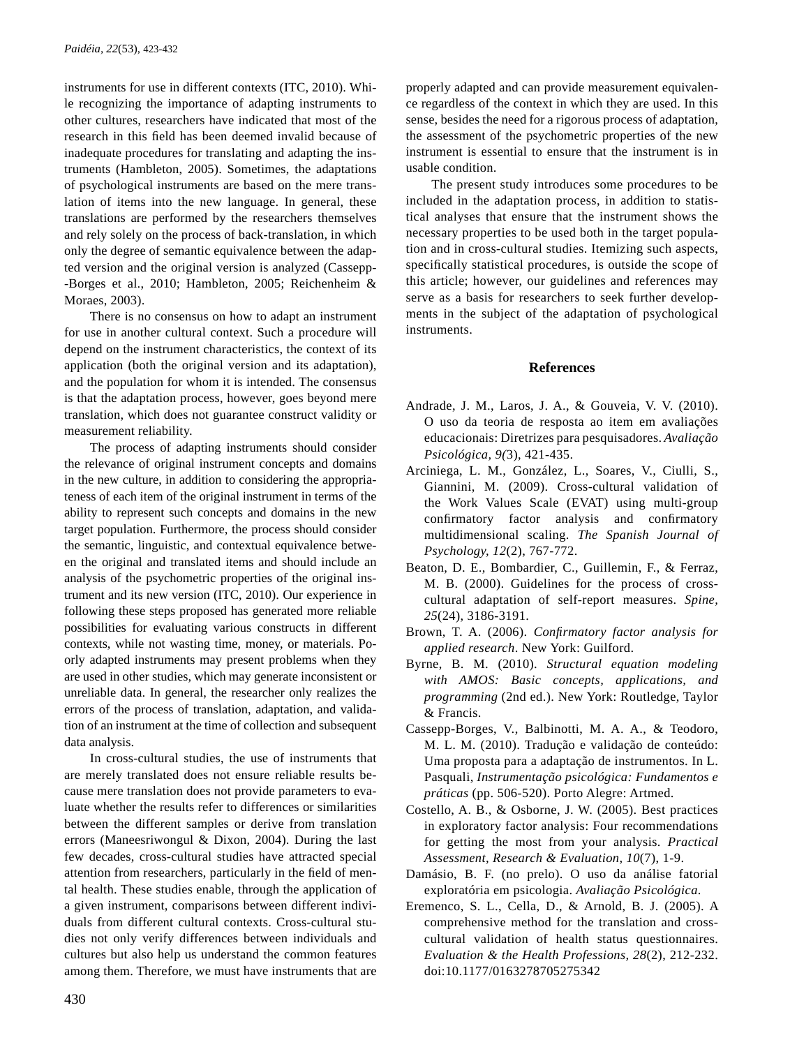instruments for use in different contexts (ITC, 2010). While recognizing the importance of adapting instruments to other cultures, researchers have indicated that most of the research in this field has been deemed invalid because of inadequate procedures for translating and adapting the instruments (Hambleton, 2005). Sometimes, the adaptations of psychological instruments are based on the mere translation of items into the new language. In general, these translations are performed by the researchers themselves and rely solely on the process of back-translation, in which only the degree of semantic equivalence between the adapted version and the original version is analyzed (Cassepp- -Borges et al., 2010; Hambleton, 2005; Reichenheim & Moraes, 2003).

There is no consensus on how to adapt an instrument for use in another cultural context. Such a procedure will depend on the instrument characteristics, the context of its application (both the original version and its adaptation), and the population for whom it is intended. The consensus is that the adaptation process, however, goes beyond mere translation, which does not guarantee construct validity or measurement reliability.

The process of adapting instruments should consider the relevance of original instrument concepts and domains in the new culture, in addition to considering the appropriateness of each item of the original instrument in terms of the ability to represent such concepts and domains in the new target population. Furthermore, the process should consider the semantic, linguistic, and contextual equivalence between the original and translated items and should include an analysis of the psychometric properties of the original instrument and its new version (ITC, 2010). Our experience in following these steps proposed has generated more reliable possibilities for evaluating various constructs in different contexts, while not wasting time, money, or materials. Poorly adapted instruments may present problems when they are used in other studies, which may generate inconsistent or unreliable data. In general, the researcher only realizes the errors of the process of translation, adaptation, and validation of an instrument at the time of collection and subsequent data analysis.

In cross-cultural studies, the use of instruments that are merely translated does not ensure reliable results because mere translation does not provide parameters to evaluate whether the results refer to differences or similarities between the different samples or derive from translation errors (Maneesriwongul & Dixon, 2004). During the last few decades, cross-cultural studies have attracted special attention from researchers, particularly in the field of mental health. These studies enable, through the application of a given instrument, comparisons between different individuals from different cultural contexts. Cross-cultural studies not only verify differences between individuals and cultures but also help us understand the common features among them. Therefore, we must have instruments that are properly adapted and can provide measurement equivalence regardless of the context in which they are used. In this sense, besides the need for a rigorous process of adaptation, the assessment of the psychometric properties of the new instrument is essential to ensure that the instrument is in usable condition.

The present study introduces some procedures to be included in the adaptation process, in addition to statistical analyses that ensure that the instrument shows the necessary properties to be used both in the target population and in cross-cultural studies. Itemizing such aspects, specifically statistical procedures, is outside the scope of this article; however, our guidelines and references may serve as a basis for researchers to seek further developments in the subject of the adaptation of psychological instruments.

# **References**

- Andrade, J. M., Laros, J. A., & Gouveia, V. V. (2010). O uso da teoria de resposta ao item em avaliações educacionais: Diretrizes para pesquisadores. *Avaliação Psicológica, 9(*3), 421-435.
- Arciniega, L. M., González, L., Soares, V., Ciulli, S., Giannini, M. (2009). Cross-cultural validation of the Work Values Scale (EVAT) using multi-group confirmatory factor analysis and confirmatory multidimensional scaling. *The Spanish Journal of Psychology, 12*(2), 767-772.
- Beaton, D. E., Bombardier, C., Guillemin, F., & Ferraz, M. B. (2000). Guidelines for the process of crosscultural adaptation of self-report measures. *Spine, 25*(24), 3186-3191.
- Brown, T. A. (2006). *Confirmatory factor analysis for applied research*. New York: Guilford.
- Byrne, B. M. (2010). *Structural equation modeling with AMOS: Basic concepts, applications, and programming* (2nd ed.). New York: Routledge, Taylor & Francis.
- Cassepp-Borges, V., Balbinotti, M. A. A., & Teodoro, M. L. M. (2010). Tradução e validação de conteúdo: Uma proposta para a adaptação de instrumentos. In L. Pasquali, *Instrumentação psicológica: Fundamentos e práticas* (pp. 506-520). Porto Alegre: Artmed.
- Costello, A. B., & Osborne, J. W. (2005). Best practices in exploratory factor analysis: Four recommendations for getting the most from your analysis. *Practical Assessment, Research & Evaluation, 10*(7), 1-9.
- Damásio, B. F. (no prelo). O uso da análise fatorial exploratória em psicologia. *Avaliação Psicológica*.
- Eremenco, S. L., Cella, D., & Arnold, B. J. (2005). A comprehensive method for the translation and crosscultural validation of health status questionnaires. *Evaluation & the Health Professions, 28*(2), 212-232. doi:10.1177/0163278705275342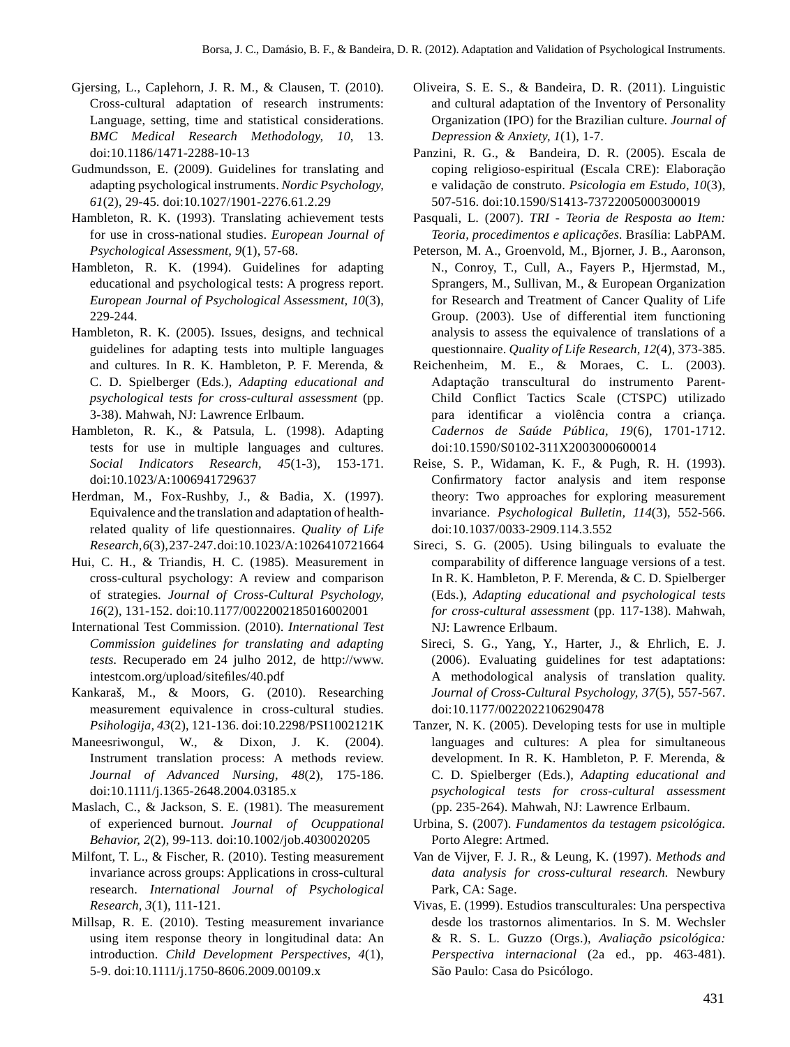- Gjersing, L., Caplehorn, J. R. M., & Clausen, T. (2010). Cross-cultural adaptation of research instruments: Language, setting, time and statistical considerations. *BMC Medical Research Methodology, 10*, 13. doi:10.1186/1471-2288-10-13
- Gudmundsson, E. (2009). Guidelines for translating and adapting psychological instruments. *Nordic Psychology, 61*(2), 29-45. doi:10.1027/1901-2276.61.2.29
- Hambleton, R. K. (1993). Translating achievement tests for use in cross-national studies. *European Journal of Psychological Assessment, 9*(1), 57-68.
- Hambleton, R. K. (1994). Guidelines for adapting educational and psychological tests: A progress report. *European Journal of Psychological Assessment, 10*(3), 229-244.
- Hambleton, R. K. (2005). Issues, designs, and technical guidelines for adapting tests into multiple languages and cultures*.* In R. K. Hambleton, P. F. Merenda, & C. D. Spielberger (Eds.), *Adapting educational and psychological tests for cross-cultural assessment* (pp. 3-38). Mahwah, NJ: Lawrence Erlbaum.
- Hambleton, R. K., & Patsula, L. (1998). Adapting tests for use in multiple languages and cultures. *Social Indicators Research, 45*(1-3), 153-171. doi:10.1023/A:1006941729637
- Herdman, M., Fox-Rushby, J., & Badia, X. (1997). Equivalence and the translation and adaptation of healthrelated quality of life questionnaires. *Quality of Life Research, 6*(3)*,* 237-247. doi:10.1023/A:1026410721664
- Hui, C. H., & Triandis, H. C. (1985). Measurement in cross-cultural psychology: A review and comparison of strategies*. Journal of Cross-Cultural Psychology, 16*(2), 131-152. doi:10.1177/0022002185016002001
- International Test Commission. (2010). *International Test Commission guidelines for translating and adapting tests.* Recuperado em 24 julho 2012, de http://www. intestcom.org/upload/sitefiles/40.pdf
- Kankaraš, M., & Moors, G. (2010). Researching measurement equivalence in cross-cultural studies. *Psihologija, 43*(2), 121-136. doi:10.2298/PSI1002121K
- Maneesriwongul, W., & Dixon, J. K. (2004). Instrument translation process: A methods review. *Journal of Advanced Nursing, 48*(2), 175-186. doi:10.1111/j.1365-2648.2004.03185.x
- Maslach, C., & Jackson, S. E. (1981). The measurement of experienced burnout. *Journal of Ocuppational Behavior, 2*(2), 99-113. doi:10.1002/job.4030020205
- Milfont, T. L., & Fischer, R. (2010). Testing measurement invariance across groups: Applications in cross-cultural research. *International Journal of Psychological Research, 3*(1), 111-121.
- Millsap, R. E. (2010). Testing measurement invariance using item response theory in longitudinal data: An introduction. *Child Development Perspectives, 4*(1), 5-9. doi:10.1111/j.1750-8606.2009.00109.x
- Oliveira, S. E. S., & Bandeira, D. R. (2011). Linguistic and cultural adaptation of the Inventory of Personality Organization (IPO) for the Brazilian culture. *Journal of Depression & Anxiety, 1*(1), 1-7.
- Panzini, R. G., & Bandeira, D. R. (2005). Escala de coping religioso-espiritual (Escala CRE): Elaboração e validação de construto. *Psicologia em Estudo, 10*(3), 507-516. doi:10.1590/S1413-73722005000300019
- Pasquali, L. (2007). *TRI Teoria de Resposta ao Item: Teoria, procedimentos e aplicações.* Brasília: LabPAM.
- Peterson, M. A., Groenvold, M., Bjorner, J. B., Aaronson, N., Conroy, T., Cull, A., Fayers P., Hjermstad, M., Sprangers, M., Sullivan, M., & European Organization for Research and Treatment of Cancer Quality of Life Group. (2003). Use of differential item functioning analysis to assess the equivalence of translations of a questionnaire. *Quality of Life Research, 12*(4), 373-385.
- Reichenheim, M. E., & Moraes, C. L. (2003). Adaptação transcultural do instrumento Parent-Child Conflict Tactics Scale (CTSPC) utilizado para identificar a violência contra a criança. *Cadernos de Saúde Pública, 19*(6), 1701-1712. doi:10.1590/S0102-311X2003000600014
- Reise, S. P., Widaman, K. F., & Pugh, R. H. (1993). Confirmatory factor analysis and item response theory: Two approaches for exploring measurement invariance. *Psychological Bulletin, 114*(3), 552-566. doi:10.1037/0033-2909.114.3.552
- Sireci, S. G. (2005). Using bilinguals to evaluate the comparability of difference language versions of a test. In R. K. Hambleton, P. F. Merenda, & C. D. Spielberger (Eds.), *Adapting educational and psychological tests for cross-cultural assessment* (pp. 117-138). Mahwah, NJ: Lawrence Erlbaum.
- Sireci, S. G., Yang, Y., Harter, J., & Ehrlich, E. J. (2006). Evaluating guidelines for test adaptations: A methodological analysis of translation quality. *Journal of Cross-Cultural Psychology, 37*(5), 557-567. doi:10.1177/0022022106290478
- Tanzer, N. K. (2005). Developing tests for use in multiple languages and cultures: A plea for simultaneous development. In R. K. Hambleton, P. F. Merenda, & C. D. Spielberger (Eds.), *Adapting educational and psychological tests for cross-cultural assessment* (pp. 235-264). Mahwah, NJ: Lawrence Erlbaum.
- Urbina, S. (2007). *Fundamentos da testagem psicológica.* Porto Alegre: Artmed.
- Van de Vijver, F. J. R., & Leung, K. (1997). *Methods and data analysis for cross-cultural research.* Newbury Park, CA: Sage.
- Vivas, E. (1999). Estudios transculturales: Una perspectiva desde los trastornos alimentarios. In S. M. Wechsler & R. S. L. Guzzo (Orgs.), *Avaliação psicológica: Perspectiva internacional* (2a ed., pp. 463-481). São Paulo: Casa do Psicólogo.